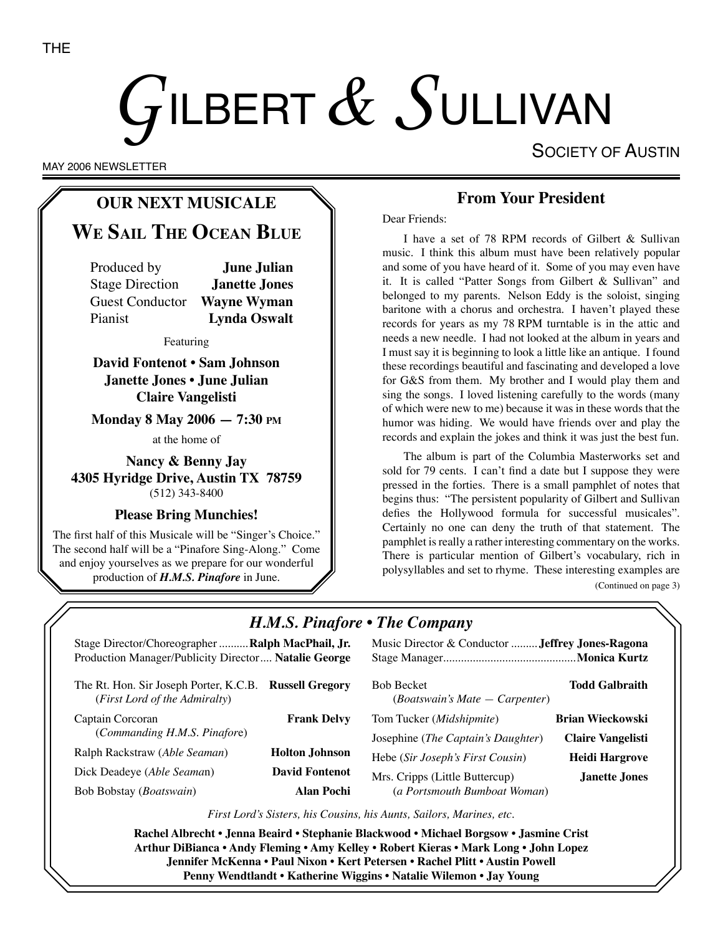# GILBERT  $\&$  SULLIVAN

SOCIETY OF AUSTIN

MAY 2006 NEWSLETTER

# **OUR NEXT MUSICALE**

# **WE SAIL THE OCEAN BLUE**

Produced by **June Julian** Stage Direction **Janette Jones** Guest Conductor **Wayne Wyman** Pianist **Lynda Oswalt**

Featuring

**David Fontenot • Sam Johnson Janette Jones • June Julian Claire Vangelisti**

**Monday 8 May 2006 — 7:30 PM**

at the home of

**Nancy & Benny Jay 4305 Hyridge Drive, Austin TX 78759** (512) 343-8400

#### **Please Bring Munchies!**

The first half of this Musicale will be "Singer's Choice." The second half will be a "Pinafore Sing-Along." Come and enjoy yourselves as we prepare for our wonderful production of *H.M.S. Pinafore* in June.

## **From Your President**

Dear Friends:

I have a set of 78 RPM records of Gilbert & Sullivan music. I think this album must have been relatively popular and some of you have heard of it. Some of you may even have it. It is called "Patter Songs from Gilbert & Sullivan" and belonged to my parents. Nelson Eddy is the soloist, singing baritone with a chorus and orchestra. I haven't played these records for years as my 78 RPM turntable is in the attic and needs a new needle. I had not looked at the album in years and I must say it is beginning to look a little like an antique. I found these recordings beautiful and fascinating and developed a love for G&S from them. My brother and I would play them and sing the songs. I loved listening carefully to the words (many of which were new to me) because it was in these words that the humor was hiding. We would have friends over and play the records and explain the jokes and think it was just the best fun.

The album is part of the Columbia Masterworks set and sold for 79 cents. I can't find a date but I suppose they were pressed in the forties. There is a small pamphlet of notes that begins thus: "The persistent popularity of Gilbert and Sullivan defies the Hollywood formula for successful musicales". Certainly no one can deny the truth of that statement. The pamphlet is really a rather interesting commentary on the works. There is particular mention of Gilbert's vocabulary, rich in polysyllables and set to rhyme. These interesting examples are (Continued on page 3)

# *H.M.S. Pinafore* • *The Company*

Stage Director/Choreographer ..........**Ralph MacPhail, Jr.** Music Director & Conductor .........**Jeffrey Jones-Ragona** Production Manager/Publicity Director.... **Natalie George** Stage Manager.............................................**Monica Kurtz** The Rt. Hon. Sir Joseph Porter, K.C.B. **Russell Gregory** (*First Lord of the Admiralty*) Captain Corcoran **Frank Delvy** (*Commanding H.M.S. Pinafor*e) Ralph Rackstraw (*Able Seaman*) **Holton Johnson** Dick Deadeye (*Able Seama*n) **David Fontenot** Bob Bobstay (*Boatswain*) **Alan Pochi** Bob Becket **Todd Galbraith** (*Boatswain's Mate — Carpenter*) Tom Tucker (*Midshipmite*) **Brian Wieckowski** Josephine (*The Captain's Daughter*) **Claire Vangelisti** Hebe (*Sir Joseph's First Cousin*) **Heidi Hargrove** Mrs. Cripps (Little Buttercup) **Janette Jones** (*a Portsmouth Bumboat Woman*)

*First Lord's Sisters, his Cousins, his Aunts, Sailors, Marines, etc.*

**Rachel Albrecht • Jenna Beaird • Stephanie Blackwood • Michael Borgsow • Jasmine Crist Arthur DiBianca • Andy Fleming • Amy Kelley • Robert Kieras • Mark Long • John Lopez Jennifer McKenna • Paul Nixon • Kert Petersen • Rachel Plitt • Austin Powell Penny Wendtlandt • Katherine Wiggins • Natalie Wilemon • Jay Young**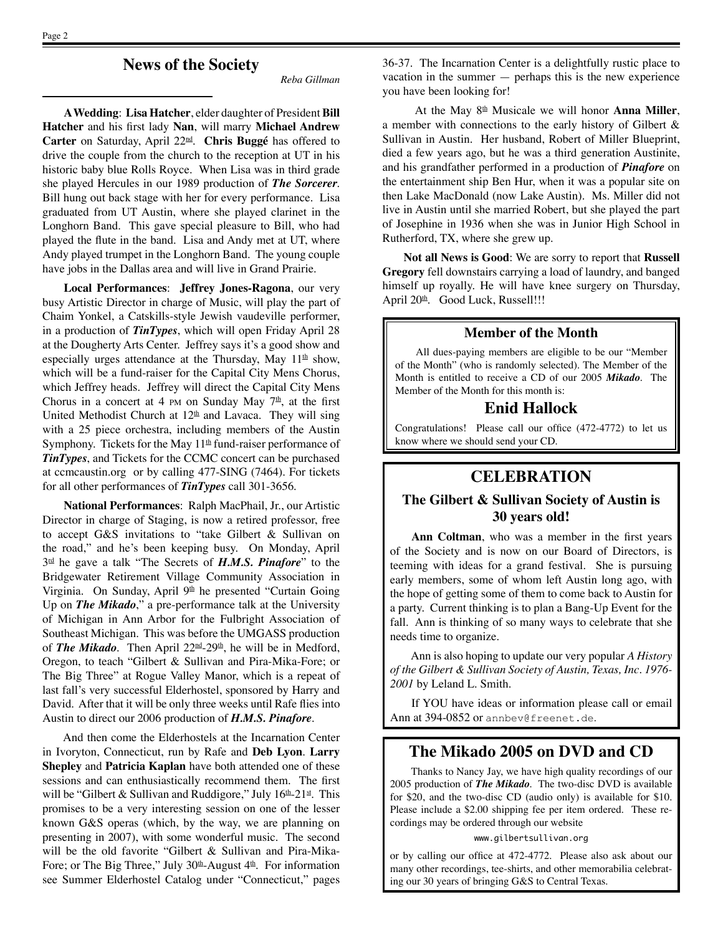**News of the Society**

*Reba Gillman*

**A Wedding**: **Lisa Hatcher**, elder daughter of President **Bill Hatcher** and his first lady **Nan**, will marry **Michael Andrew Carter** on Saturday, April 22nd. **Chris Buggé** has offered to drive the couple from the church to the reception at UT in his historic baby blue Rolls Royce. When Lisa was in third grade she played Hercules in our 1989 production of *The Sorcerer*. Bill hung out back stage with her for every performance. Lisa graduated from UT Austin, where she played clarinet in the Longhorn Band. This gave special pleasure to Bill, who had played the flute in the band. Lisa and Andy met at UT, where Andy played trumpet in the Longhorn Band. The young couple have jobs in the Dallas area and will live in Grand Prairie.

**Local Performances**: **Jeffrey Jones-Ragona**, our very busy Artistic Director in charge of Music, will play the part of Chaim Yonkel, a Catskills-style Jewish vaudeville performer, in a production of *TinTypes*, which will open Friday April 28 at the Dougherty Arts Center. Jeffrey says it's a good show and especially urges attendance at the Thursday, May  $11<sup>th</sup>$  show, which will be a fund-raiser for the Capital City Mens Chorus, which Jeffrey heads. Jeffrey will direct the Capital City Mens Chorus in a concert at 4 PM on Sunday May  $7<sup>th</sup>$ , at the first United Methodist Church at  $12<sup>th</sup>$  and Lavaca. They will sing with a 25 piece orchestra, including members of the Austin Symphony. Tickets for the May  $11<sup>th</sup>$  fund-raiser performance of *TinTypes*, and Tickets for the CCMC concert can be purchased at ccmcaustin.org or by calling 477-SING (7464). For tickets for all other performances of *TinTypes* call 301-3656.

**National Performances**: Ralph MacPhail, Jr., our Artistic Director in charge of Staging, is now a retired professor, free to accept G&S invitations to "take Gilbert & Sullivan on the road," and he's been keeping busy. On Monday, April 3rd he gave a talk "The Secrets of *H.M.S. Pinafore*" to the Bridgewater Retirement Village Community Association in Virginia. On Sunday, April 9<sup>th</sup> he presented "Curtain Going Up on *The Mikado*," a pre-performance talk at the University of Michigan in Ann Arbor for the Fulbright Association of Southeast Michigan. This was before the UMGASS production of *The Mikado*. Then April 22nd-29th, he will be in Medford, Oregon, to teach "Gilbert & Sullivan and Pira-Mika-Fore; or The Big Three" at Rogue Valley Manor, which is a repeat of last fall's very successful Elderhostel, sponsored by Harry and David. After that it will be only three weeks until Rafe flies into Austin to direct our 2006 production of *H.M.S. Pinafore*.

And then come the Elderhostels at the Incarnation Center in Ivoryton, Connecticut, run by Rafe and **Deb Lyon**. **Larry Shepley** and **Patricia Kaplan** have both attended one of these sessions and can enthusiastically recommend them. The first will be "Gilbert & Sullivan and Ruddigore," July  $16<sup>th</sup>$ -21<sup>st</sup>. This promises to be a very interesting session on one of the lesser known G&S operas (which, by the way, we are planning on presenting in 2007), with some wonderful music. The second will be the old favorite "Gilbert & Sullivan and Pira-Mika-Fore; or The Big Three," July  $30<sup>th</sup>$ -August  $4<sup>th</sup>$ . For information see Summer Elderhostel Catalog under "Connecticut," pages 36-37. The Incarnation Center is a delightfully rustic place to vacation in the summer — perhaps this is the new experience you have been looking for!

At the May 8th Musicale we will honor **Anna Miller**, a member with connections to the early history of Gilbert & Sullivan in Austin. Her husband, Robert of Miller Blueprint, died a few years ago, but he was a third generation Austinite, and his grandfather performed in a production of *Pinafore* on the entertainment ship Ben Hur, when it was a popular site on then Lake MacDonald (now Lake Austin). Ms. Miller did not live in Austin until she married Robert, but she played the part of Josephine in 1936 when she was in Junior High School in Rutherford, TX, where she grew up.

**Not all News is Good**: We are sorry to report that **Russell Gregory** fell downstairs carrying a load of laundry, and banged himself up royally. He will have knee surgery on Thursday, April 20<sup>th</sup>. Good Luck, Russell!!!

#### **Member of the Month**

All dues-paying members are eligible to be our "Member of the Month" (who is randomly selected). The Member of the Month is entitled to receive a CD of our 2005 *Mikado*. The Member of the Month for this month is:

#### **Enid Hallock**

Congratulations! Please call our office (472-4772) to let us know where we should send your CD.

#### **CELEBRATION**

#### **The Gilbert & Sullivan Society of Austin is 30 years old!**

**Ann Coltman**, who was a member in the first years of the Society and is now on our Board of Directors, is teeming with ideas for a grand festival. She is pursuing early members, some of whom left Austin long ago, with the hope of getting some of them to come back to Austin for a party. Current thinking is to plan a Bang-Up Event for the fall. Ann is thinking of so many ways to celebrate that she needs time to organize.

Ann is also hoping to update our very popular *A History of the Gilbert & Sullivan Society of Austin, Texas, Inc. 1976- 2001* by Leland L. Smith.

If YOU have ideas or information please call or email Ann at 394-0852 or annbey@freenet.de.

#### **The Mikado 2005 on DVD and CD**

Thanks to Nancy Jay, we have high quality recordings of our 2005 production of *The Mikado*. The two-disc DVD is available for \$20, and the two-disc CD (audio only) is available for \$10. Please include a \$2.00 shipping fee per item ordered. These recordings may be ordered through our website

www.gilbertsullivan.org

or by calling our office at 472-4772. Please also ask about our many other recordings, tee-shirts, and other memorabilia celebrating our 30 years of bringing G&S to Central Texas.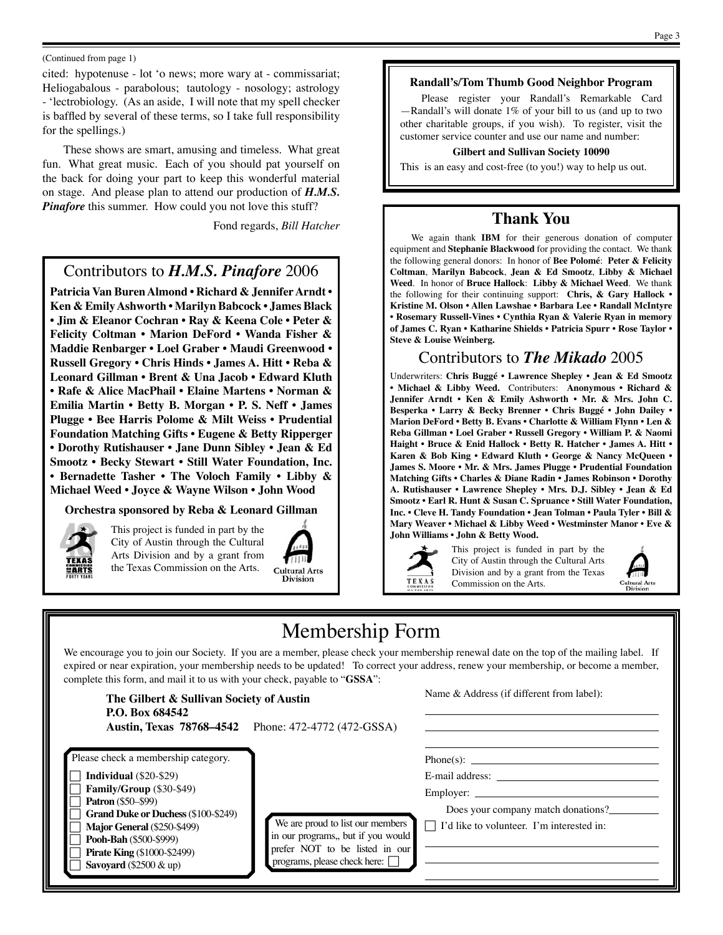#### (Continued from page 1)

cited: hypotenuse - lot 'o news; more wary at - commissariat; Heliogabalous - parabolous; tautology - nosology; astrology - 'lectrobiology. (As an aside, I will note that my spell checker is baffled by several of these terms, so I take full responsibility for the spellings.)

These shows are smart, amusing and timeless. What great fun. What great music. Each of you should pat yourself on the back for doing your part to keep this wonderful material on stage. And please plan to attend our production of *H.M.S.*  **Pinafore** this summer. How could you not love this stuff?

Fond regards, *Bill Hatcher*

## Contributors to *H.M.S. Pinafore* 2006

**Patricia Van Buren Almond • Richard & Jennifer Arndt • Ken & Emily Ashworth • Marilyn Babcock • James Black • Jim & Eleanor Cochran • Ray & Keena Cole • Peter & Felicity Coltman • Marion DeFord • Wanda Fisher & Maddie Renbarger • Loel Graber • Maudi Greenwood • Russell Gregory • Chris Hinds • James A. Hitt • Reba & Leonard Gillman • Brent & Una Jacob • Edward Kluth • Rafe & Alice MacPhail • Elaine Martens • Norman & Emilia Martin • Betty B. Morgan • P. S. Neff • James Plugge • Bee Harris Polome & Milt Weiss • Prudential Foundation Matching Gifts • Eugene & Betty Ripperger • Dorothy Rutishauser • Jane Dunn Sibley • Jean & Ed Smootz • Becky Stewart • Still Water Foundation, Inc. • Bernadette Tasher • The Voloch Family • Libby & Michael Weed • Joyce & Wayne Wilson • John Wood**

#### **Orchestra sponsored by Reba & Leonard Gillman**



This project is funded in part by the City of Austin through the Cultural Arts Division and by a grant from the Texas Commission on the Arts.



## **Randall's/Tom Thumb Good Neighbor Program**

Please register your Randall's Remarkable Card —Randall's will donate 1% of your bill to us (and up to two other charitable groups, if you wish). To register, visit the customer service counter and use our name and number:

#### **Gilbert and Sullivan Society 10090**

This is an easy and cost-free (to you!) way to help us out.

#### **Thank You**

We again thank **IBM** for their generous donation of computer equipment and **Stephanie Blackwood** for providing the contact. We thank the following general donors: In honor of **Bee Polomé**: **Peter & Felicity Coltman**, **Marilyn Babcock**, **Jean & Ed Smootz**, **Libby & Michael Weed**. In honor of **Bruce Hallock**: **Libby & Michael Weed**. We thank the following for their continuing support: **Chris, & Gary Hallock • Kristine M. Olson • Allen Lawshae • Barbara Lee • Randall McIntyre • Rosemary Russell-Vines • Cynthia Ryan & Valerie Ryan in memory of James C. Ryan • Katharine Shields • Patricia Spurr • Rose Taylor • Steve & Louise Weinberg.**

### Contributors to *The Mikado* 2005

Underwriters: **Chris Buggé • Lawrence Shepley • Jean & Ed Smootz • Michael & Libby Weed.** Contributers: **Anonymous • Richard & Jennifer Arndt • Ken & Emily Ashworth • Mr. & Mrs. John C. Besperka • Larry & Becky Brenner • Chris Buggé • John Dailey • Marion DeFord • Betty B. Evans • Charlotte & William Flynn • Len & Reba Gillman • Loel Graber • Russell Gregory • William P. & Naomi Haight • Bruce & Enid Hallock • Betty R. Hatcher • James A. Hitt • Karen & Bob King • Edward Kluth • George & Nancy McQueen • James S. Moore • Mr. & Mrs. James Plugge • Prudential Foundation Matching Gifts • Charles & Diane Radin • James Robinson • Dorothy A. Rutishauser • Lawrence Shepley • Mrs. D.J. Sibley • Jean & Ed Smootz • Earl R. Hunt & Susan C. Spruance • Still Water Foundation, Inc. • Cleve H. Tandy Foundation • Jean Tolman • Paula Tyler • Bill & Mary Weaver • Michael & Libby Weed • Westminster Manor • Eve & John Williams • John & Betty Wood.**

TEXAS

This project is funded in part by the City of Austin through the Cultural Arts Division and by a grant from the Texas Commission on the Arts.



# Membership Form

We encourage you to join our Society. If you are a member, please check your membership renewal date on the top of the mailing label. If expired or near expiration, your membership needs to be updated! To correct your address, renew your membership, or become a member, complete this form, and mail it to us with your check, payable to "**GSSA**":

| The Gilbert & Sullivan Society of Austin<br>P.O. Box 684542                                                                                                                                                                                                                                                      | Austin, Texas 78768–4542 Phone: 472-4772 (472-GSSA)                                                                                             | Name & Address (if different from label):                                                                          |
|------------------------------------------------------------------------------------------------------------------------------------------------------------------------------------------------------------------------------------------------------------------------------------------------------------------|-------------------------------------------------------------------------------------------------------------------------------------------------|--------------------------------------------------------------------------------------------------------------------|
| Please check a membership category.<br><b>Individual</b> $(\$20-\$29)$<br>Family/Group (\$30-\$49)<br><b>Patron</b> (\$50–\$99)<br><b>Grand Duke or Duchess (\$100-\$249)</b><br><b>Major General (\$250-\$499)</b><br>Pooh-Bah (\$500-\$999)<br><b>Pirate King (\$1000-\$2499)</b><br>Savoyard $(\$2500 \& up)$ | We are proud to list our members<br>in our programs,, but if you would<br>prefer NOT to be listed in our<br>programs, please check here: $\Box$ | $Phone(s)$ :<br>E-mail address:<br>Does your company match donations?<br>I'd like to volunteer. I'm interested in: |